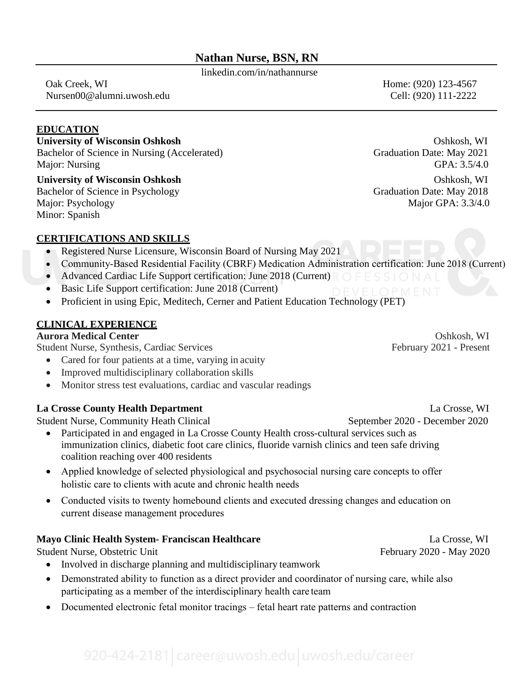# **Nathan Nurse, BSN, RN**

linkedin.com/in/nathannurse

 Oak Creek, WI Home: (920) 123-4567 [Nursen00@alumni.uwosh.edu](mailto:Nursen00@alumni.uwosh.edu) Cell: (920) 111-2222

## **EDUCATION**

#### **University of Wisconsin Oshkosh** Oshkosh, WI

Bachelor of Science in Nursing (Accelerated) Graduation Date: May 2021 Major: Nursing GPA: 3.5/4.0

**University of Wisconsin Oshkosh** Oshkosh, WI Bachelor of Science in Psychology Graduation Date: May 2018 Major: Psychology Major GPA: 3.3/4.0 Minor: Spanish

#### **CERTIFICATIONS AND SKILLS**

- Registered Nurse Licensure, Wisconsin Board of Nursing May 2021
- Community-Based Residential Facility (CBRF) Medication Administration certification: June 2018 (Current)
- Advanced Cardiac Life Support certification: June 2018 (Current)  $R \circ F \in S$  S  $\circ \circ A \subset F$
- Basic Life Support certification: June 2018 (Current)
- Proficient in using Epic, Meditech, Cerner and Patient Education Technology (PET)

## **CLINICAL EXPERIENCE**

# **Aurora Medical Center Contract Center Contract Contract Contract Contract Contract Contract Contract Contract Contract Contract Contract Contract Contract Contract Contract Contract Contract Contract Contract Contract Con**

Student Nurse, Synthesis, Cardiac Services February 2021 - Present

- Cared for four patients at a time, varying in acuity
- Improved multidisciplinary collaboration skills
- Monitor stress test evaluations, cardiac and vascular readings

#### **La Crosse County Health Department** La Crosse, WI

Student Nurse, Community Heath Clinical September 2020 - December 2020

- Participated in and engaged in La Crosse County Health cross-cultural services such as immunization clinics, diabetic foot care clinics, fluoride varnish clinics and teen safe driving coalition reaching over 400 residents
- Applied knowledge of selected physiological and psychosocial nursing care concepts to offer holistic care to clients with acute and chronic health needs
- Conducted visits to twenty homebound clients and executed dressing changes and education on current disease management procedures

# **Mayo Clinic Health System- Franciscan Healthcare** La Crosse, WI

Student Nurse, Obstetric Unit February 2020 - May 2020

- Involved in discharge planning and multidisciplinary teamwork
- Demonstrated ability to function as a direct provider and coordinator of nursing care, while also participating as a member of the interdisciplinary health care team
- Documented electronic fetal monitor tracings fetal heart rate patterns and contraction

920-424-2181 career@uwosh.edu uwosh.edu/career